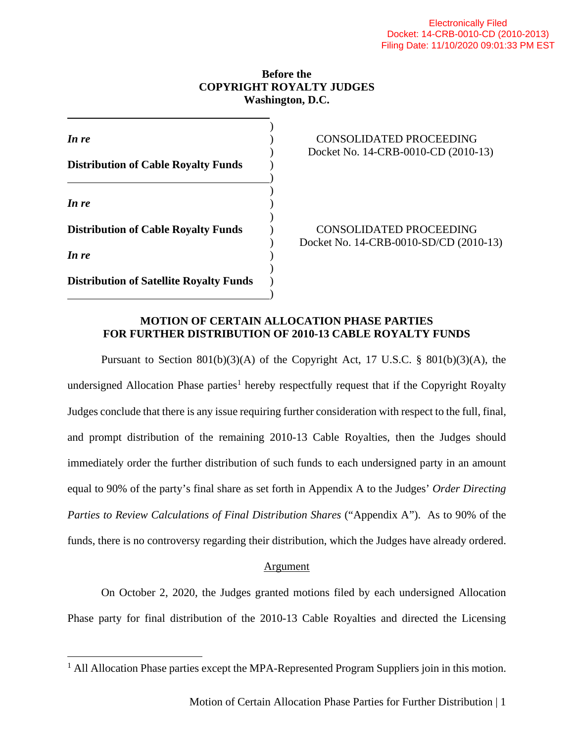## **Before the COPYRIGHT ROYALTY JUDGES Washington, D.C.**

| In re                                          |  |
|------------------------------------------------|--|
| <b>Distribution of Cable Royalty Funds</b>     |  |
| In re                                          |  |
| <b>Distribution of Cable Royalty Funds</b>     |  |
| In re                                          |  |
| <b>Distribution of Satellite Royalty Funds</b> |  |

# *CONSOLIDATED PROCEEDING* ) Docket No. 14-CRB-0010-CD (2010-13)

**Distribution of Cable Royalty Funds** ) CONSOLIDATED PROCEEDING ) Docket No. 14-CRB-0010-SD/CD (2010-13)

## **MOTION OF CERTAIN ALLOCATION PHASE PARTIES FOR FURTHER DISTRIBUTION OF 2010-13 CABLE ROYALTY FUNDS**

)

Pursuant to Section  $801(b)(3)(A)$  of the Copyright Act, 17 U.S.C. §  $801(b)(3)(A)$ , the undersigned Allocation Phase parties<sup>1</sup> hereby respectfully request that if the Copyright Royalty Judges conclude that there is any issue requiring further consideration with respect to the full, final, and prompt distribution of the remaining 2010-13 Cable Royalties, then the Judges should immediately order the further distribution of such funds to each undersigned party in an amount equal to 90% of the party's final share as set forth in Appendix A to the Judges' *Order Directing Parties to Review Calculations of Final Distribution Shares* ("Appendix A"). As to 90% of the funds, there is no controversy regarding their distribution, which the Judges have already ordered.

# **Argument**

On October 2, 2020, the Judges granted motions filed by each undersigned Allocation Phase party for final distribution of the 2010-13 Cable Royalties and directed the Licensing

<sup>&</sup>lt;sup>1</sup> All Allocation Phase parties except the MPA-Represented Program Suppliers join in this motion.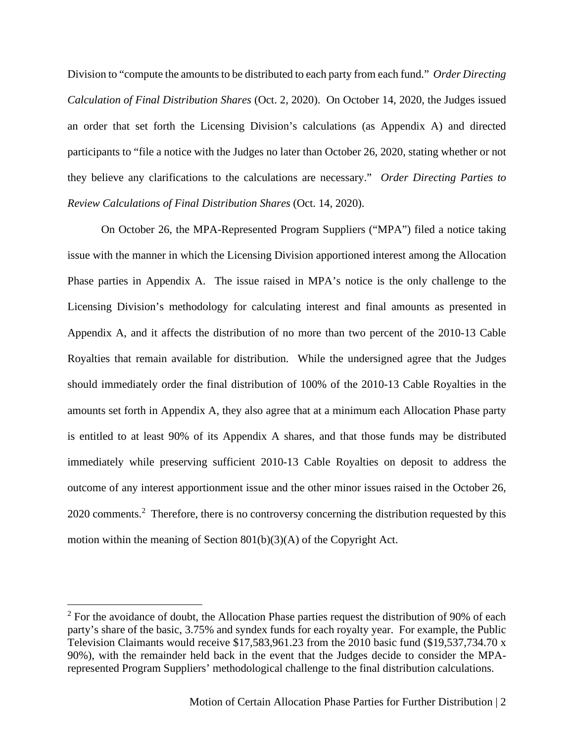Division to "compute the amounts to be distributed to each party from each fund." *Order Directing Calculation of Final Distribution Shares* (Oct. 2, 2020). On October 14, 2020, the Judges issued an order that set forth the Licensing Division's calculations (as Appendix A) and directed participants to "file a notice with the Judges no later than October 26, 2020, stating whether or not they believe any clarifications to the calculations are necessary." *Order Directing Parties to Review Calculations of Final Distribution Shares* (Oct. 14, 2020).

On October 26, the MPA-Represented Program Suppliers ("MPA") filed a notice taking issue with the manner in which the Licensing Division apportioned interest among the Allocation Phase parties in Appendix A. The issue raised in MPA's notice is the only challenge to the Licensing Division's methodology for calculating interest and final amounts as presented in Appendix A, and it affects the distribution of no more than two percent of the 2010-13 Cable Royalties that remain available for distribution. While the undersigned agree that the Judges should immediately order the final distribution of 100% of the 2010-13 Cable Royalties in the amounts set forth in Appendix A, they also agree that at a minimum each Allocation Phase party is entitled to at least 90% of its Appendix A shares, and that those funds may be distributed immediately while preserving sufficient 2010-13 Cable Royalties on deposit to address the outcome of any interest apportionment issue and the other minor issues raised in the October 26, 2020 comments.<sup>2</sup> Therefore, there is no controversy concerning the distribution requested by this motion within the meaning of Section 801(b)(3)(A) of the Copyright Act.

 $2^2$  For the avoidance of doubt, the Allocation Phase parties request the distribution of 90% of each party's share of the basic, 3.75% and syndex funds for each royalty year. For example, the Public Television Claimants would receive \$17,583,961.23 from the 2010 basic fund (\$19,537,734.70 x 90%), with the remainder held back in the event that the Judges decide to consider the MPArepresented Program Suppliers' methodological challenge to the final distribution calculations.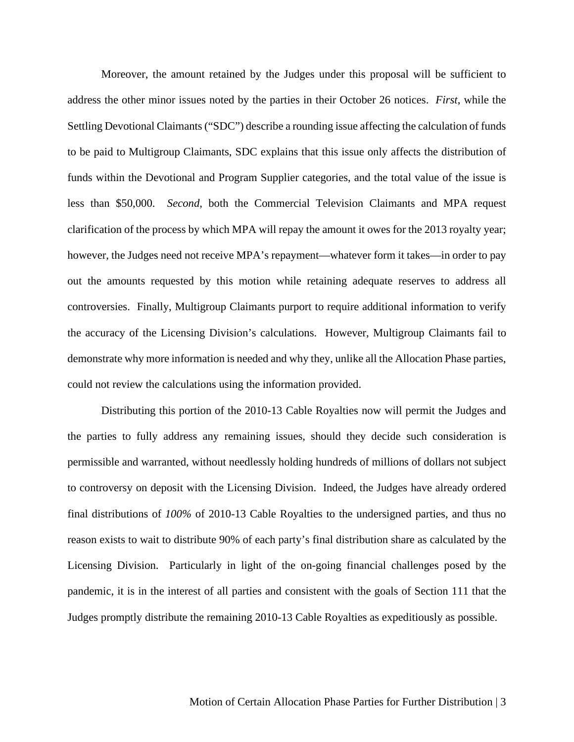Moreover, the amount retained by the Judges under this proposal will be sufficient to address the other minor issues noted by the parties in their October 26 notices. *First*, while the Settling Devotional Claimants ("SDC") describe a rounding issue affecting the calculation of funds to be paid to Multigroup Claimants, SDC explains that this issue only affects the distribution of funds within the Devotional and Program Supplier categories, and the total value of the issue is less than \$50,000. *Second*, both the Commercial Television Claimants and MPA request clarification of the process by which MPA will repay the amount it owes for the 2013 royalty year; however, the Judges need not receive MPA's repayment—whatever form it takes—in order to pay out the amounts requested by this motion while retaining adequate reserves to address all controversies. Finally, Multigroup Claimants purport to require additional information to verify the accuracy of the Licensing Division's calculations. However, Multigroup Claimants fail to demonstrate why more information is needed and why they, unlike all the Allocation Phase parties, could not review the calculations using the information provided.

Distributing this portion of the 2010-13 Cable Royalties now will permit the Judges and the parties to fully address any remaining issues, should they decide such consideration is permissible and warranted, without needlessly holding hundreds of millions of dollars not subject to controversy on deposit with the Licensing Division. Indeed, the Judges have already ordered final distributions of *100%* of 2010-13 Cable Royalties to the undersigned parties, and thus no reason exists to wait to distribute 90% of each party's final distribution share as calculated by the Licensing Division. Particularly in light of the on-going financial challenges posed by the pandemic, it is in the interest of all parties and consistent with the goals of Section 111 that the Judges promptly distribute the remaining 2010-13 Cable Royalties as expeditiously as possible.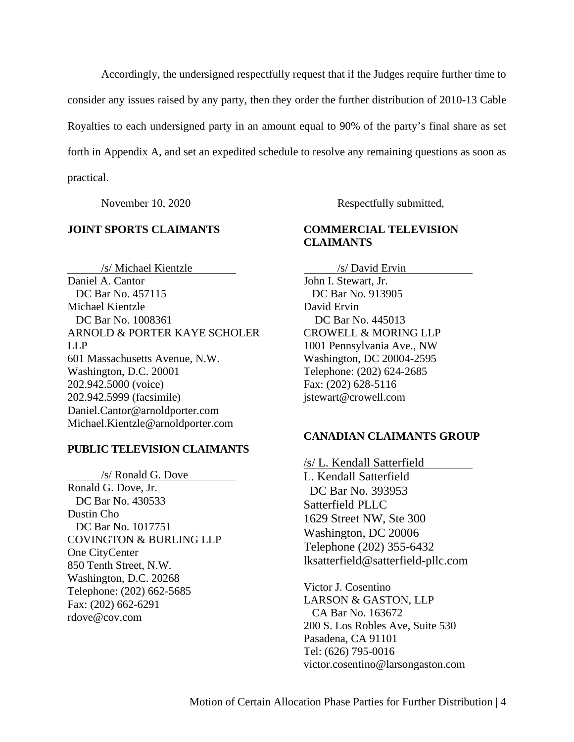Accordingly, the undersigned respectfully request that if the Judges require further time to consider any issues raised by any party, then they order the further distribution of 2010-13 Cable Royalties to each undersigned party in an amount equal to 90% of the party's final share as set forth in Appendix A, and set an expedited schedule to resolve any remaining questions as soon as practical.

## **JOINT SPORTS CLAIMANTS**

/s/ Michael Kientzle Daniel A. Cantor DC Bar No. 457115 Michael Kientzle DC Bar No. 1008361 ARNOLD & PORTER KAYE SCHOLER LLP 601 Massachusetts Avenue, N.W. Washington, D.C. 20001 202.942.5000 (voice) 202.942.5999 (facsimile) Daniel.Cantor@arnoldporter.com Michael.Kientzle@arnoldporter.com

#### **PUBLIC TELEVISION CLAIMANTS**

/s/ Ronald G. Dove Ronald G. Dove, Jr. DC Bar No. 430533 Dustin Cho DC Bar No. 1017751 COVINGTON & BURLING LLP One CityCenter 850 Tenth Street, N.W. Washington, D.C. 20268 Telephone: (202) 662-5685 Fax: (202) 662-6291 rdove@cov.com

November 10, 2020 Respectfully submitted,

# **COMMERCIAL TELEVISION CLAIMANTS**

/s/ David Ervin John I. Stewart, Jr. DC Bar No. 913905 David Ervin DC Bar No. 445013 CROWELL & MORING LLP 1001 Pennsylvania Ave., NW Washington, DC 20004-2595 Telephone: (202) 624-2685 Fax: (202) 628-5116 jstewart@crowell.com

#### **CANADIAN CLAIMANTS GROUP**

/s/ L. Kendall Satterfield L. Kendall Satterfield DC Bar No. 393953 Satterfield PLLC 1629 Street NW, Ste 300 Washington, DC 20006 Telephone (202) 355-6432 lksatterfield@satterfield-pllc.com

Victor J. Cosentino LARSON & GASTON, LLP CA Bar No. 163672 200 S. Los Robles Ave, Suite 530 Pasadena, CA 91101 Tel: (626) 795-0016 victor.cosentino@larsongaston.com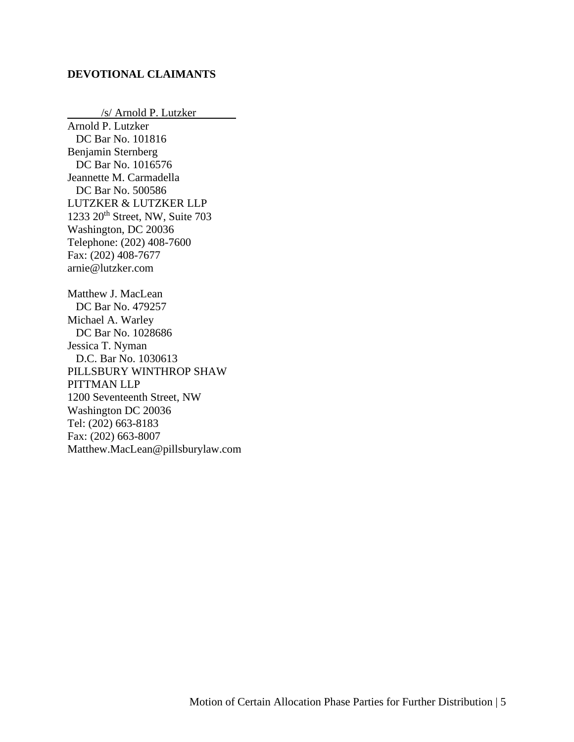## **DEVOTIONAL CLAIMANTS**

/s/ Arnold P. Lutzker Arnold P. Lutzker DC Bar No. 101816 Benjamin Sternberg DC Bar No. 1016576 Jeannette M. Carmadella DC Bar No. 500586 LUTZKER & LUTZKER LLP 1233  $20<sup>th</sup>$  Street, NW, Suite 703 Washington, DC 20036 Telephone: (202) 408-7600 Fax: (202) 408-7677 arnie@lutzker.com Matthew J. MacLean DC Bar No. 479257 Michael A. Warley DC Bar No. 1028686 Jessica T. Nyman D.C. Bar No. 1030613 PILLSBURY WINTHROP SHAW PITTMAN LLP 1200 Seventeenth Street, NW Washington DC 20036 Tel: (202) 663-8183 Fax: (202) 663-8007 Matthew.MacLean@pillsburylaw.com